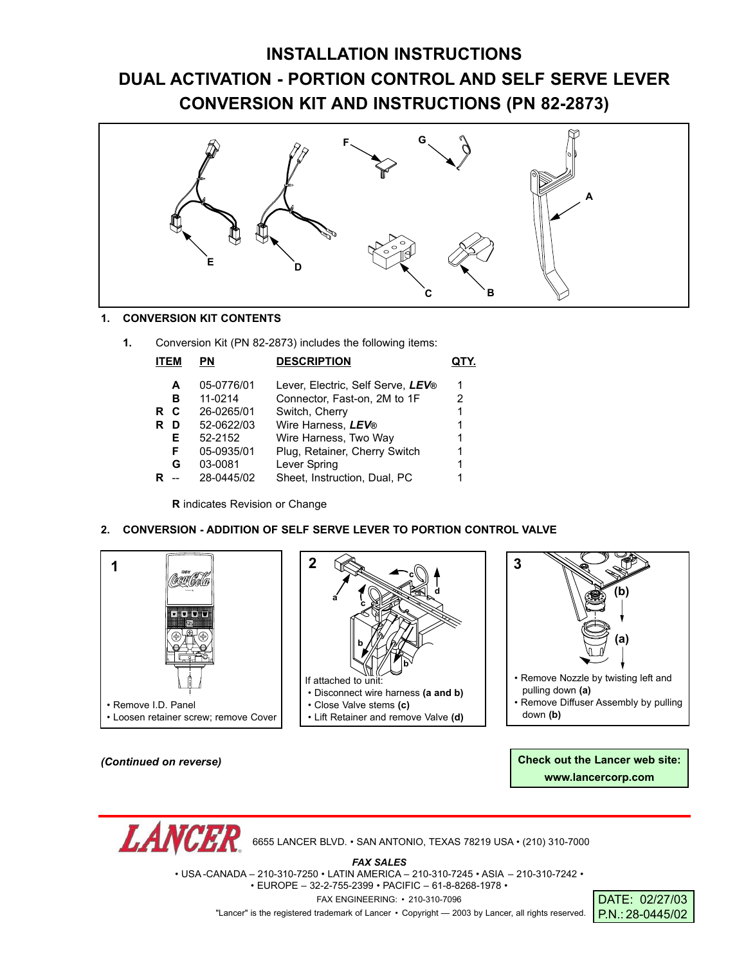### **INSTALLATION INSTRUCTIONS DUAL ACTIVATION - PORTION CONTROL AND SELF SERVE LEVER CONVERSION KIT AND INSTRUCTIONS (PN 82-2873)**



#### **1. CONVERSION KIT CONTENTS**

**1.** Conversion Kit (PN 82-2873) includes the following items:

| <b>ITEM</b> |    | PN         | <b>DESCRIPTION</b>                |   |
|-------------|----|------------|-----------------------------------|---|
|             | A  | 05-0776/01 | Lever, Electric, Self Serve, LEV® | 1 |
|             | в  | 11-0214    | Connector, Fast-on, 2M to 1F      | 2 |
| R.          | C  | 26-0265/01 | Switch, Cherry                    |   |
| R           | D  | 52-0622/03 | Wire Harness, LEV®                |   |
|             | E. | 52-2152    | Wire Harness, Two Way             |   |
|             | F  | 05-0935/01 | Plug, Retainer, Cherry Switch     |   |
|             | G  | 03-0081    | Lever Spring                      |   |
|             |    | 28-0445/02 | Sheet, Instruction, Dual, PC      |   |

**R** indicates Revision or Change

#### **2. CONVERSION - ADDITION OF SELF SERVE LEVER TO PORTION CONTROL VALVE**



*(Continued on reverse)*

*LANCEI* 

**Check out the Lancer web site: www.lancercorp.com**

6655 LANCER BLVD. • SAN ANTONIO, TEXAS 78219 USA • (210) 310-7000

*FAX SALES*

• USA -CANADA – 210-310-7250 • LATIN AMERICA – 210-310-7245 • ASIA – 210-310-7242 •

• EUROPE – 32-2-755-2399 • PACIFIC – 61-8-8268-1978 •

FAX ENGINEERING: • 210-310-7096

"Lancer" is the registered trademark of Lancer • Copyright — 2003 by Lancer, all rights reserved. **PN: 28-0445/02** 

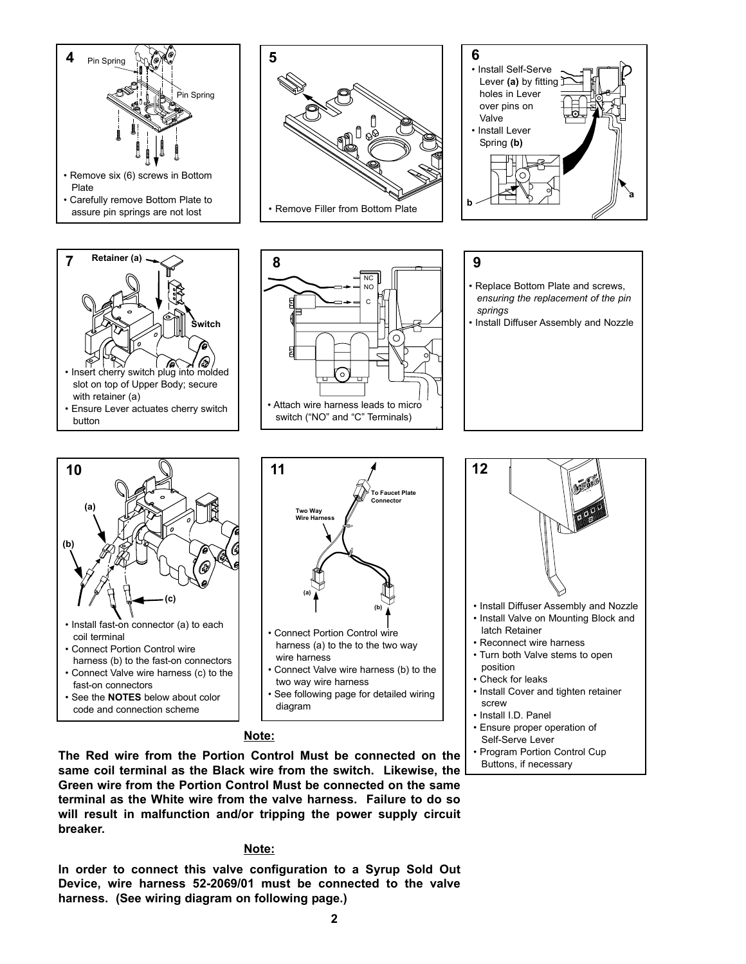

#### **Note:**

**The Red wire from the Portion Control Must be connected on the same coil terminal as the Black wire from the switch. Likewise, the Green wire from the Portion Control Must be connected on the same terminal as the White wire from the valve harness. Failure to do so will result in malfunction and/or tripping the power supply circuit breaker.**

#### **Note:**

**In order to connect this valve configuration to a Syrup Sold Out Device, wire harness 52-2069/01 must be connected to the valve harness. (See wiring diagram on following page.)**

**2**

Self-Serve Lever • Program Portion Control Cup Buttons, if necessary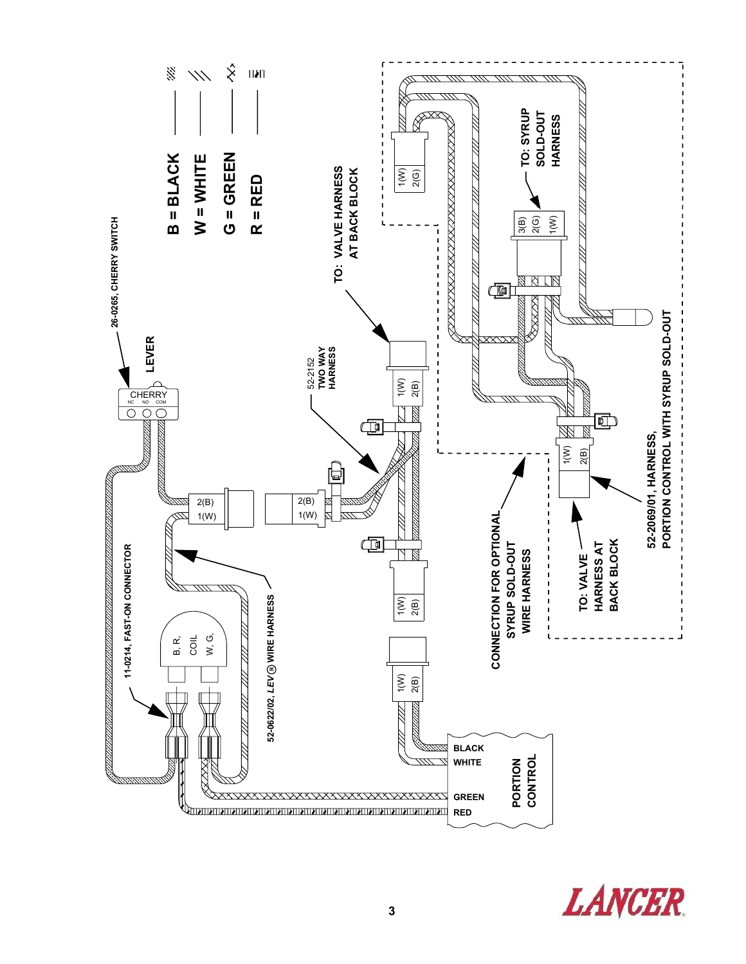